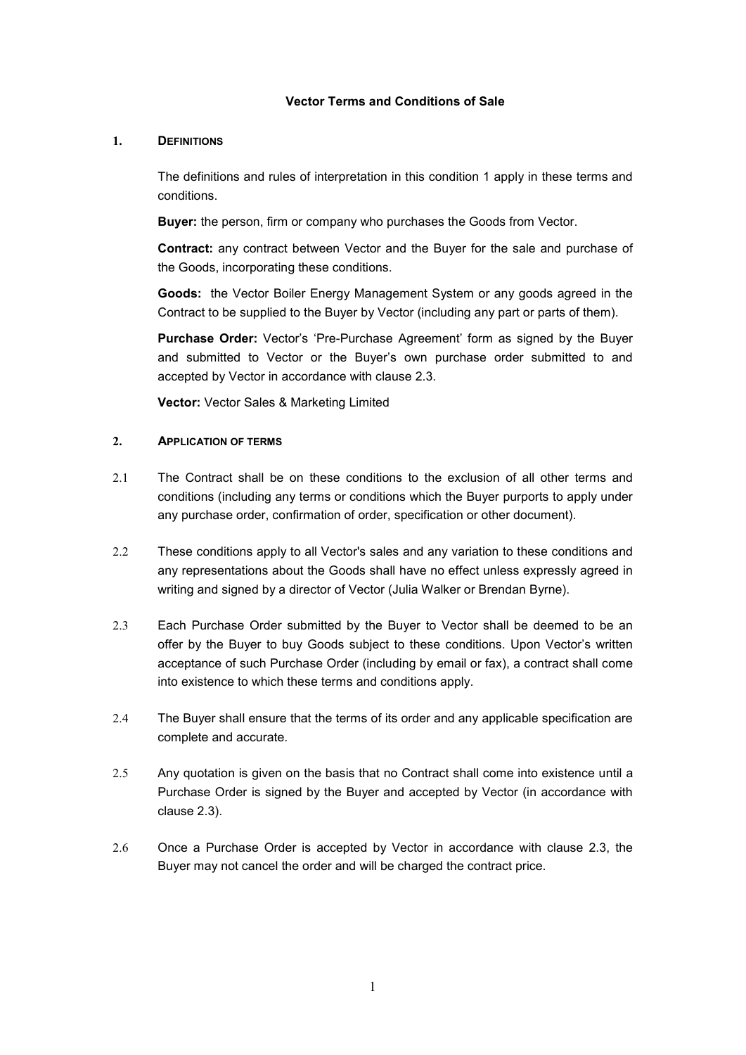### **Vector Terms and Conditions of Sale**

#### **1. DEFINITIONS**

The definitions and rules of interpretation in this condition 1 apply in these terms and conditions.

**Buyer:** the person, firm or company who purchases the Goods from Vector.

**Contract:** any contract between Vector and the Buyer for the sale and purchase of the Goods, incorporating these conditions.

**Goods:** the Vector Boiler Energy Management System or any goods agreed in the Contract to be supplied to the Buyer by Vector (including any part or parts of them).

**Purchase Order:** Vector's 'Pre-Purchase Agreement' form as signed by the Buyer and submitted to Vector or the Buyer's own purchase order submitted to and accepted by Vector in accordance with clause 2.3.

**Vector:** Vector Sales & Marketing Limited

#### **2. APPLICATION OF TERMS**

- 2.1 The Contract shall be on these conditions to the exclusion of all other terms and conditions (including any terms or conditions which the Buyer purports to apply under any purchase order, confirmation of order, specification or other document).
- 2.2 These conditions apply to all Vector's sales and any variation to these conditions and any representations about the Goods shall have no effect unless expressly agreed in writing and signed by a director of Vector (Julia Walker or Brendan Byrne).
- 2.3 Each Purchase Order submitted by the Buyer to Vector shall be deemed to be an offer by the Buyer to buy Goods subject to these conditions. Upon Vector's written acceptance of such Purchase Order (including by email or fax), a contract shall come into existence to which these terms and conditions apply.
- 2.4 The Buyer shall ensure that the terms of its order and any applicable specification are complete and accurate.
- 2.5 Any quotation is given on the basis that no Contract shall come into existence until a Purchase Order is signed by the Buyer and accepted by Vector (in accordance with clause 2.3).
- 2.6 Once a Purchase Order is accepted by Vector in accordance with clause 2.3, the Buyer may not cancel the order and will be charged the contract price.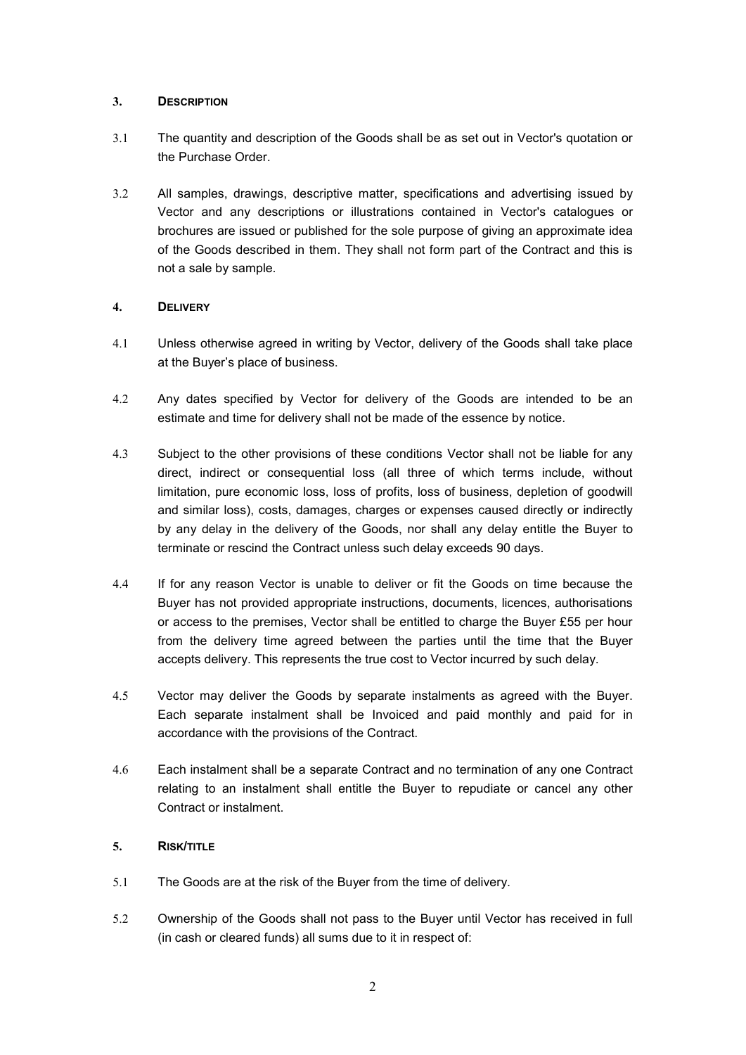### **3. DESCRIPTION**

- 3.1 The quantity and description of the Goods shall be as set out in Vector's quotation or the Purchase Order.
- 3.2 All samples, drawings, descriptive matter, specifications and advertising issued by Vector and any descriptions or illustrations contained in Vector's catalogues or brochures are issued or published for the sole purpose of giving an approximate idea of the Goods described in them. They shall not form part of the Contract and this is not a sale by sample.

# **4. DELIVERY**

- 4.1 Unless otherwise agreed in writing by Vector, delivery of the Goods shall take place at the Buyer's place of business.
- 4.2 Any dates specified by Vector for delivery of the Goods are intended to be an estimate and time for delivery shall not be made of the essence by notice.
- 4.3 Subject to the other provisions of these conditions Vector shall not be liable for any direct, indirect or consequential loss (all three of which terms include, without limitation, pure economic loss, loss of profits, loss of business, depletion of goodwill and similar loss), costs, damages, charges or expenses caused directly or indirectly by any delay in the delivery of the Goods, nor shall any delay entitle the Buyer to terminate or rescind the Contract unless such delay exceeds 90 days.
- 4.4 If for any reason Vector is unable to deliver or fit the Goods on time because the Buyer has not provided appropriate instructions, documents, licences, authorisations or access to the premises, Vector shall be entitled to charge the Buyer £55 per hour from the delivery time agreed between the parties until the time that the Buyer accepts delivery. This represents the true cost to Vector incurred by such delay.
- 4.5 Vector may deliver the Goods by separate instalments as agreed with the Buyer. Each separate instalment shall be Invoiced and paid monthly and paid for in accordance with the provisions of the Contract.
- 4.6 Each instalment shall be a separate Contract and no termination of any one Contract relating to an instalment shall entitle the Buyer to repudiate or cancel any other Contract or instalment.

# **5. RISK/TITLE**

- 5.1 The Goods are at the risk of the Buyer from the time of delivery.
- 5.2 Ownership of the Goods shall not pass to the Buyer until Vector has received in full (in cash or cleared funds) all sums due to it in respect of: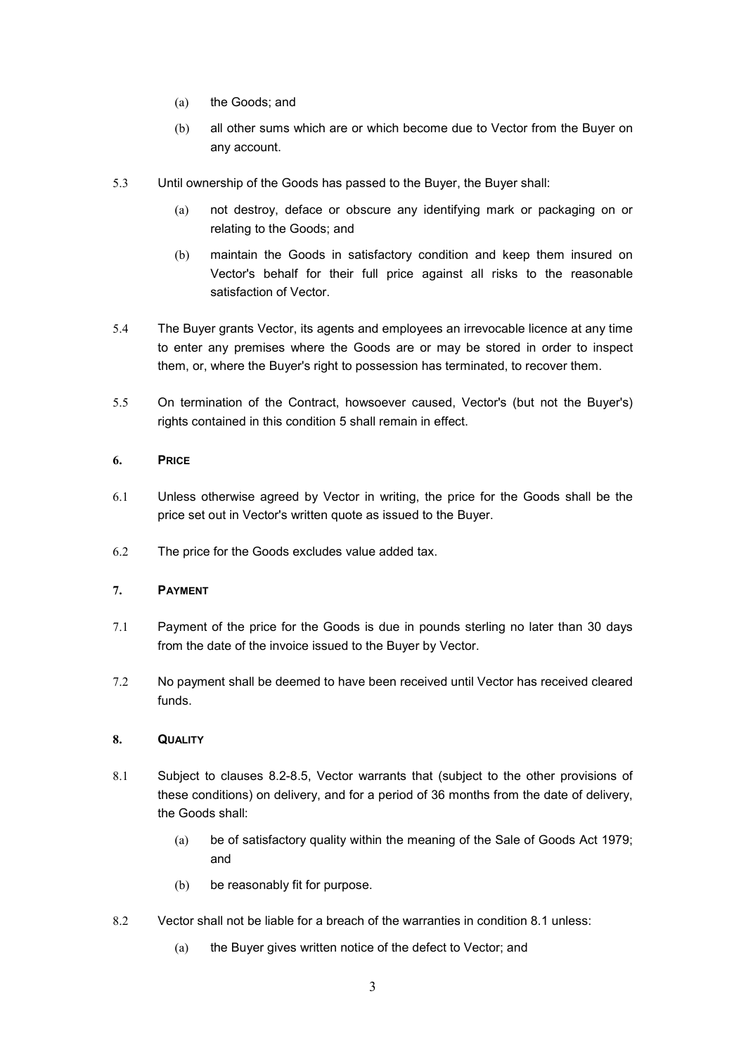- (a) the Goods; and
- (b) all other sums which are or which become due to Vector from the Buyer on any account.
- 5.3 Until ownership of the Goods has passed to the Buyer, the Buyer shall:
	- (a) not destroy, deface or obscure any identifying mark or packaging on or relating to the Goods; and
	- (b) maintain the Goods in satisfactory condition and keep them insured on Vector's behalf for their full price against all risks to the reasonable satisfaction of Vector.
- 5.4 The Buyer grants Vector, its agents and employees an irrevocable licence at any time to enter any premises where the Goods are or may be stored in order to inspect them, or, where the Buyer's right to possession has terminated, to recover them.
- 5.5 On termination of the Contract, howsoever caused, Vector's (but not the Buyer's) rights contained in this condition 5 shall remain in effect.

## **6. PRICE**

- 6.1 Unless otherwise agreed by Vector in writing, the price for the Goods shall be the price set out in Vector's written quote as issued to the Buyer.
- 6.2 The price for the Goods excludes value added tax.

### **7. PAYMENT**

- 7.1 Payment of the price for the Goods is due in pounds sterling no later than 30 days from the date of the invoice issued to the Buyer by Vector.
- 7.2 No payment shall be deemed to have been received until Vector has received cleared funds.

### **8. QUALITY**

- 8.1 Subject to clauses 8.2-8.5, Vector warrants that (subject to the other provisions of these conditions) on delivery, and for a period of 36 months from the date of delivery, the Goods shall:
	- (a) be of satisfactory quality within the meaning of the Sale of Goods Act 1979; and
	- (b) be reasonably fit for purpose.
- 8.2 Vector shall not be liable for a breach of the warranties in condition 8.1 unless:
	- (a) the Buyer gives written notice of the defect to Vector; and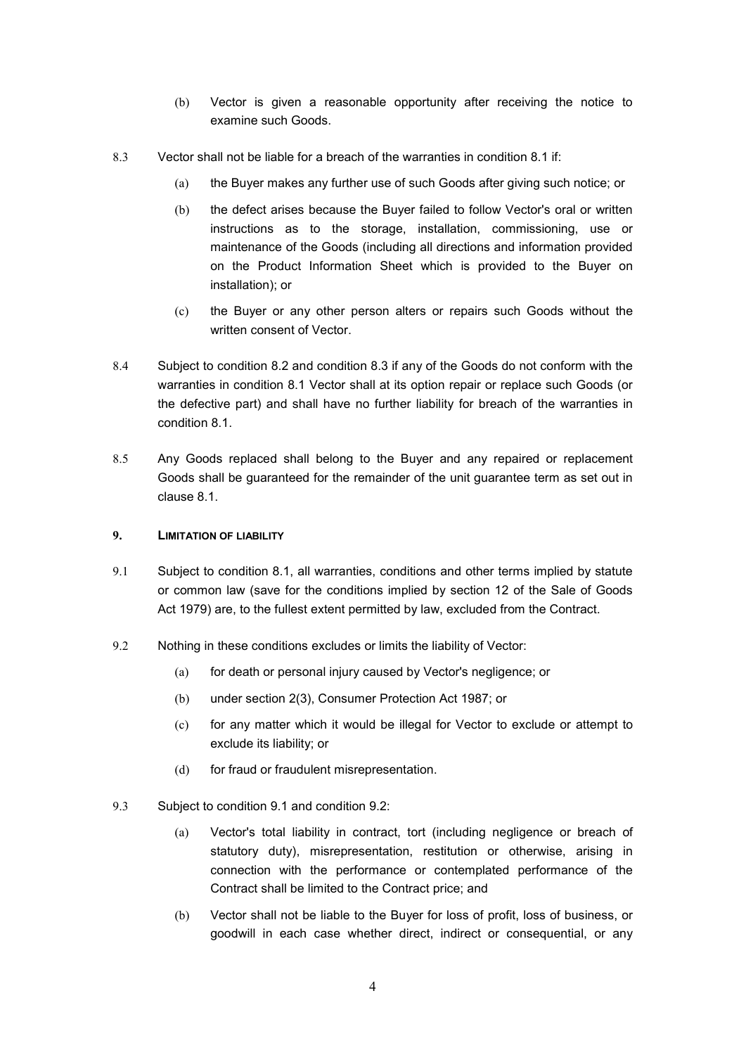- (b) Vector is given a reasonable opportunity after receiving the notice to examine such Goods.
- 8.3 Vector shall not be liable for a breach of the warranties in condition 8.1 if:
	- (a) the Buyer makes any further use of such Goods after giving such notice; or
	- (b) the defect arises because the Buyer failed to follow Vector's oral or written instructions as to the storage, installation, commissioning, use or maintenance of the Goods (including all directions and information provided on the Product Information Sheet which is provided to the Buyer on installation); or
	- (c) the Buyer or any other person alters or repairs such Goods without the written consent of Vector.
- 8.4 Subject to condition 8.2 and condition 8.3 if any of the Goods do not conform with the warranties in condition 8.1 Vector shall at its option repair or replace such Goods (or the defective part) and shall have no further liability for breach of the warranties in condition 8.1.
- 8.5 Any Goods replaced shall belong to the Buyer and any repaired or replacement Goods shall be guaranteed for the remainder of the unit guarantee term as set out in clause 8.1.

### **9. LIMITATION OF LIABILITY**

- 9.1 Subject to condition 8.1, all warranties, conditions and other terms implied by statute or common law (save for the conditions implied by section 12 of the Sale of Goods Act 1979) are, to the fullest extent permitted by law, excluded from the Contract.
- 9.2 Nothing in these conditions excludes or limits the liability of Vector:
	- (a) for death or personal injury caused by Vector's negligence; or
	- (b) under section 2(3), Consumer Protection Act 1987; or
	- (c) for any matter which it would be illegal for Vector to exclude or attempt to exclude its liability; or
	- (d) for fraud or fraudulent misrepresentation.
- 9.3 Subject to condition 9.1 and condition 9.2:
	- (a) Vector's total liability in contract, tort (including negligence or breach of statutory duty), misrepresentation, restitution or otherwise, arising in connection with the performance or contemplated performance of the Contract shall be limited to the Contract price; and
	- (b) Vector shall not be liable to the Buyer for loss of profit, loss of business, or goodwill in each case whether direct, indirect or consequential, or any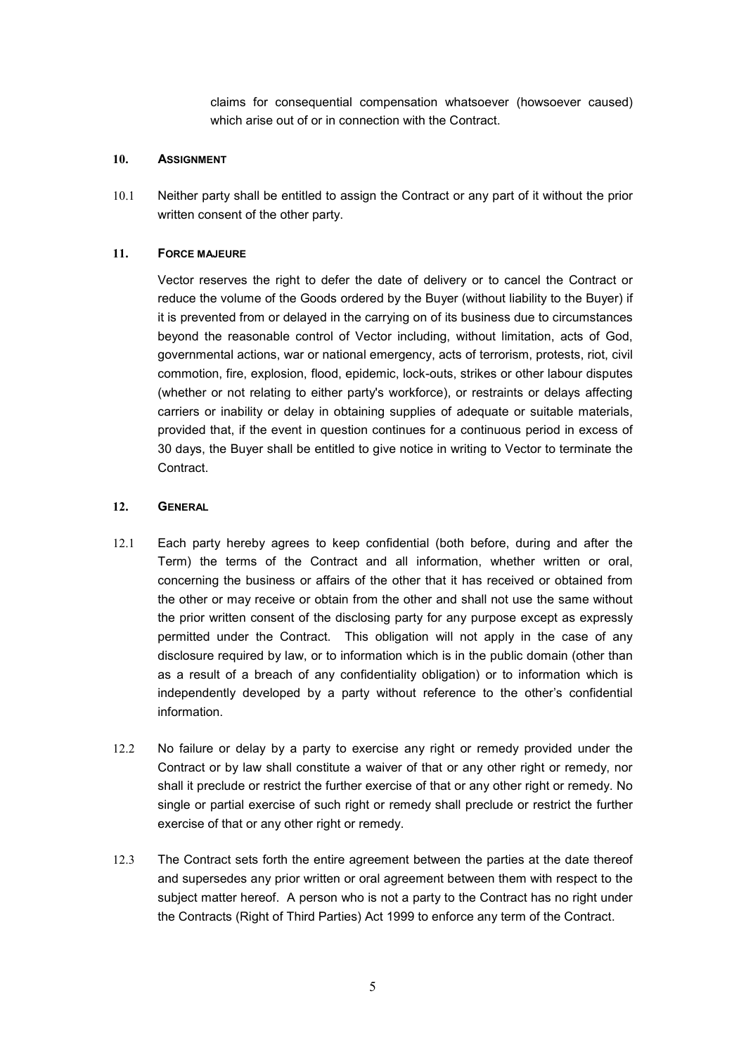claims for consequential compensation whatsoever (howsoever caused) which arise out of or in connection with the Contract.

### **10. ASSIGNMENT**

10.1 Neither party shall be entitled to assign the Contract or any part of it without the prior written consent of the other party.

### **11. FORCE MAJEURE**

Vector reserves the right to defer the date of delivery or to cancel the Contract or reduce the volume of the Goods ordered by the Buyer (without liability to the Buyer) if it is prevented from or delayed in the carrying on of its business due to circumstances beyond the reasonable control of Vector including, without limitation, acts of God, governmental actions, war or national emergency, acts of terrorism, protests, riot, civil commotion, fire, explosion, flood, epidemic, lock-outs, strikes or other labour disputes (whether or not relating to either party's workforce), or restraints or delays affecting carriers or inability or delay in obtaining supplies of adequate or suitable materials, provided that, if the event in question continues for a continuous period in excess of 30 days, the Buyer shall be entitled to give notice in writing to Vector to terminate the Contract.

### **12. GENERAL**

- 12.1 Each party hereby agrees to keep confidential (both before, during and after the Term) the terms of the Contract and all information, whether written or oral, concerning the business or affairs of the other that it has received or obtained from the other or may receive or obtain from the other and shall not use the same without the prior written consent of the disclosing party for any purpose except as expressly permitted under the Contract. This obligation will not apply in the case of any disclosure required by law, or to information which is in the public domain (other than as a result of a breach of any confidentiality obligation) or to information which is independently developed by a party without reference to the other's confidential information.
- 12.2 No failure or delay by a party to exercise any right or remedy provided under the Contract or by law shall constitute a waiver of that or any other right or remedy, nor shall it preclude or restrict the further exercise of that or any other right or remedy. No single or partial exercise of such right or remedy shall preclude or restrict the further exercise of that or any other right or remedy.
- 12.3 The Contract sets forth the entire agreement between the parties at the date thereof and supersedes any prior written or oral agreement between them with respect to the subject matter hereof. A person who is not a party to the Contract has no right under the Contracts (Right of Third Parties) Act 1999 to enforce any term of the Contract.